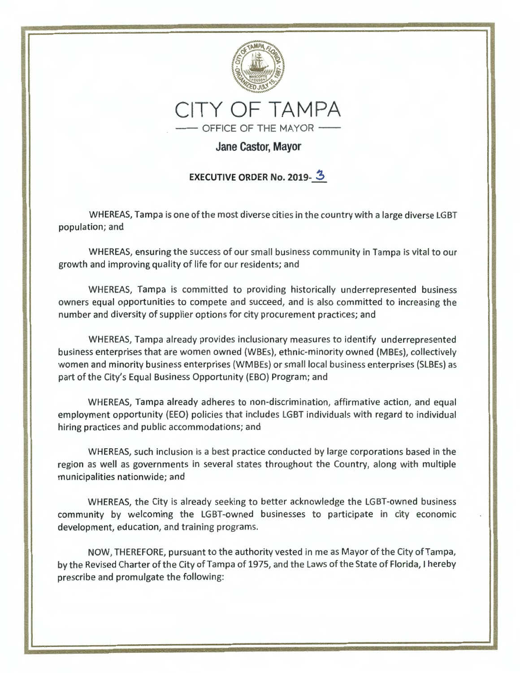

# **Jane Castor, Mayor**

# **EXECUTIVE ORDER No. 2019-3**

WHEREAS, Tampa is one of the most diverse cities in the country with a large diverse LGBT population; and

WHEREAS, ensuring the success of our small business community in Tampa is vital to our growth and improving quality of life for our residents; and

WHEREAS, Tampa is committed to providing historically underrepresented business owners equal opportunities to compete and succeed, and is also committed to increasing the number and diversity of supplier options for city procurement practices; and

WHEREAS, Tampa already provides inclusionary measures to identify underrepresented business enterprises that are women owned (WBEs), ethnic-minority owned (MBEs), collectively women and minority business enterprises (WMBEs) or small local business enterprises (SLBEs) as part of the City's Equal Business Opportunity (EBO) Program; and

WHEREAS, Tampa already adheres to non-discrimination, affirmative action, and equal employment opportunity (EEO) policies that includes LGBT individuals with regard to individual hiring practices and public accommodations; and

WHEREAS, such inclusion is a best practice conducted by large corporations based in the region as well as governments in several states throughout the Country, along with multiple municipalities nationwide; and

WHEREAS, the City is already seeking to better acknowledge the LGBT-owned business community by welcoming the LGBT-owned businesses to participate in city economic development, education, and training programs.

NOW, THEREFORE, pursuant to the authority vested in me as Mayor of the City of Tampa, by the Revised Charter of the City of Tampa of 1975, and the Laws of the State of Florida, I hereby prescribe and promulgate the following: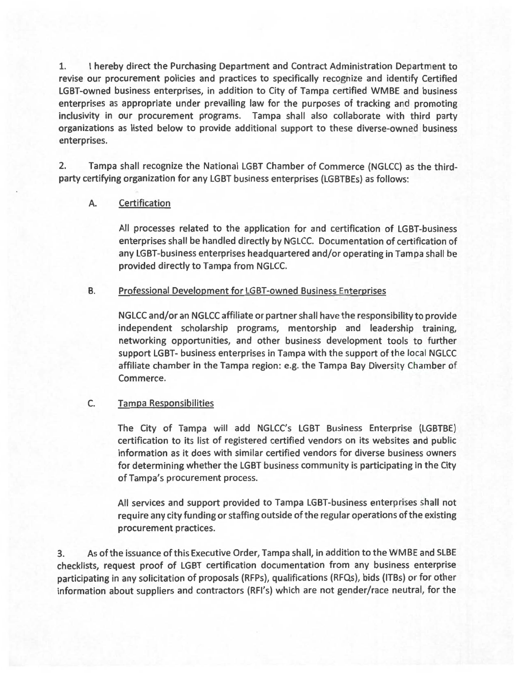1. I hereby direct the Purchasing Department and Contract Administration Department to revise our procurement policies and practices to specifically recognize and identify Certified LGBT-owned business enterprises, in addition to City of Tampa certified WMBE and business enterprises as appropriate under prevailing law for the purposes of tracking and promoting inclusivity in our procurement programs. Tampa shall also collaborate with third party organizations as listed below to provide additional support to these diverse-owned business enterprises.

2. Tampa shall recognize the National LGBT Chamber of Commerce (NGLCC} as the thirdparty certifying organization for any LGBT business enterprises (LGBTBEs} as follows :

### A. Certification

All processes related to the application for and certification of LGBT-business enterprises shall be handled directly by NGLCC. Documentation of certification of any LGBT-business enterprises headquartered and/or operating in Tampa shall be provided directly to Tampa from NGLCC.

#### B. **Professional Development for LGBT-owned Business Enterprises**

NGLCC and/or an NGLCC affiliate or partner shall have the responsibility to provide independent scholarship programs, mentorship and leadership training, networking opportunities, and other business development tools to further support LGBT- business enterprises in Tampa with the support of the local NGLCC affiliate chamber in the Tampa region: e.g. the Tampa Bay Diversity Chamber of Commerce.

## C. Tampa Responsibilities

The City of Tampa will add NGLCC's LGBT Business Enterprise (LGBTBE) certification to its list of registered certified vendors on its websites and public information as it does with similar certified vendors for diverse business owners for determining whether the LGBT business community is participating in the City of Tampa's procurement process.

All services and support provided to Tampa LGBT-business enterprises shall not require any city funding or staffing outside of the regular operations of the existing procurement practices.

3. As ofthe issuance of this Executive Order, Tampa shall, in addition to the WMBE and SLBE checklists, request proof of LGBT certification documentation from any business enterprise participating in any solicitation of proposals (RFPs}, qualifications (RFQs}, bids (ITBs} or for other information about suppliers and contractors (RFl's) which are not gender/race neutral, for the